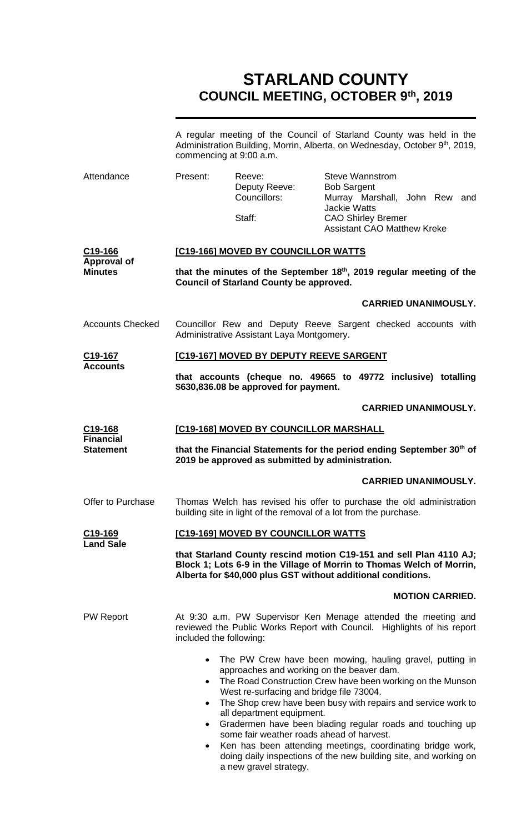# **STARLAND COUNTY COUNCIL MEETING, OCTOBER 9th, 2019**

|                                                 | A regular meeting of the Council of Starland County was held in the<br>Administration Building, Morrin, Alberta, on Wednesday, October 9 <sup>th</sup> , 2019,<br>commencing at 9:00 a.m.                                                                                                                                                                                                                                                                                                                         |                                                   |                                                                                                                                                                         |  |  |
|-------------------------------------------------|-------------------------------------------------------------------------------------------------------------------------------------------------------------------------------------------------------------------------------------------------------------------------------------------------------------------------------------------------------------------------------------------------------------------------------------------------------------------------------------------------------------------|---------------------------------------------------|-------------------------------------------------------------------------------------------------------------------------------------------------------------------------|--|--|
| Attendance                                      | Present:                                                                                                                                                                                                                                                                                                                                                                                                                                                                                                          | Reeve:<br>Deputy Reeve:<br>Councillors:<br>Staff: | <b>Steve Wannstrom</b><br><b>Bob Sargent</b><br>Murray Marshall, John Rew and<br><b>Jackie Watts</b><br><b>CAO Shirley Bremer</b><br><b>Assistant CAO Matthew Kreke</b> |  |  |
| C19-166<br><b>Approval of</b><br><b>Minutes</b> | [C19-166] MOVED BY COUNCILLOR WATTS                                                                                                                                                                                                                                                                                                                                                                                                                                                                               |                                                   |                                                                                                                                                                         |  |  |
|                                                 | that the minutes of the September 18th, 2019 regular meeting of the<br><b>Council of Starland County be approved.</b>                                                                                                                                                                                                                                                                                                                                                                                             |                                                   |                                                                                                                                                                         |  |  |
|                                                 |                                                                                                                                                                                                                                                                                                                                                                                                                                                                                                                   |                                                   | <b>CARRIED UNANIMOUSLY.</b>                                                                                                                                             |  |  |
| <b>Accounts Checked</b>                         | Councillor Rew and Deputy Reeve Sargent checked accounts with<br>Administrative Assistant Laya Montgomery.                                                                                                                                                                                                                                                                                                                                                                                                        |                                                   |                                                                                                                                                                         |  |  |
| C19-167                                         |                                                                                                                                                                                                                                                                                                                                                                                                                                                                                                                   | [C19-167] MOVED BY DEPUTY REEVE SARGENT           |                                                                                                                                                                         |  |  |
| <b>Accounts</b>                                 | that accounts (cheque no. 49665 to 49772 inclusive) totalling<br>\$630,836.08 be approved for payment.                                                                                                                                                                                                                                                                                                                                                                                                            |                                                   |                                                                                                                                                                         |  |  |
|                                                 |                                                                                                                                                                                                                                                                                                                                                                                                                                                                                                                   |                                                   | <b>CARRIED UNANIMOUSLY.</b>                                                                                                                                             |  |  |
| C <sub>19</sub> -168                            | [C19-168] MOVED BY COUNCILLOR MARSHALL                                                                                                                                                                                                                                                                                                                                                                                                                                                                            |                                                   |                                                                                                                                                                         |  |  |
| <b>Financial</b><br><b>Statement</b>            | that the Financial Statements for the period ending September 30th of<br>2019 be approved as submitted by administration.                                                                                                                                                                                                                                                                                                                                                                                         |                                                   |                                                                                                                                                                         |  |  |
|                                                 |                                                                                                                                                                                                                                                                                                                                                                                                                                                                                                                   |                                                   | <b>CARRIED UNANIMOUSLY.</b>                                                                                                                                             |  |  |
| Offer to Purchase                               | Thomas Welch has revised his offer to purchase the old administration<br>building site in light of the removal of a lot from the purchase.                                                                                                                                                                                                                                                                                                                                                                        |                                                   |                                                                                                                                                                         |  |  |
| C19-169<br><b>Land Sale</b>                     | [C19-169] MOVED BY COUNCILLOR WATTS                                                                                                                                                                                                                                                                                                                                                                                                                                                                               |                                                   |                                                                                                                                                                         |  |  |
|                                                 | that Starland County rescind motion C19-151 and sell Plan 4110 AJ;<br>Block 1; Lots 6-9 in the Village of Morrin to Thomas Welch of Morrin,<br>Alberta for \$40,000 plus GST without additional conditions.                                                                                                                                                                                                                                                                                                       |                                                   |                                                                                                                                                                         |  |  |
|                                                 |                                                                                                                                                                                                                                                                                                                                                                                                                                                                                                                   |                                                   | <b>MOTION CARRIED.</b>                                                                                                                                                  |  |  |
| <b>PW Report</b>                                | At 9:30 a.m. PW Supervisor Ken Menage attended the meeting and<br>reviewed the Public Works Report with Council. Highlights of his report<br>included the following:                                                                                                                                                                                                                                                                                                                                              |                                                   |                                                                                                                                                                         |  |  |
|                                                 | The PW Crew have been mowing, hauling gravel, putting in<br>approaches and working on the beaver dam.<br>The Road Construction Crew have been working on the Munson<br>$\bullet$<br>West re-surfacing and bridge file 73004.<br>The Shop crew have been busy with repairs and service work to<br>$\bullet$<br>all department equipment.<br>Gradermen have been blading regular roads and touching up<br>some fair weather roads ahead of harvest.<br>• Ken has been attending meetings, coordinating bridge work, |                                                   |                                                                                                                                                                         |  |  |

• Ken has been attending meetings, coordinating bridge work, doing daily inspections of the new building site, and working on a new gravel strategy.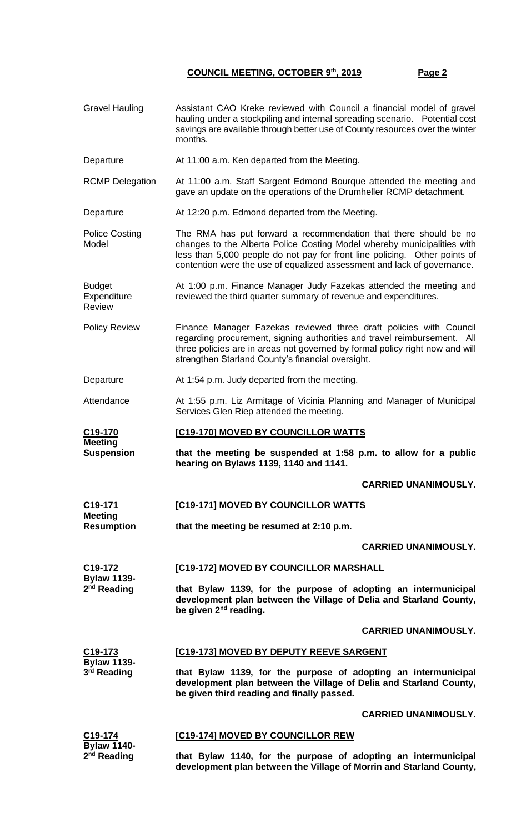- Gravel Hauling Assistant CAO Kreke reviewed with Council a financial model of gravel hauling under a stockpiling and internal spreading scenario. Potential cost savings are available through better use of County resources over the winter months.
- Departure At 11:00 a.m. Ken departed from the Meeting.

RCMP Delegation At 11:00 a.m. Staff Sargent Edmond Bourque attended the meeting and gave an update on the operations of the Drumheller RCMP detachment.

Departure At 12:20 p.m. Edmond departed from the Meeting.

Police Costing Model The RMA has put forward a recommendation that there should be no changes to the Alberta Police Costing Model whereby municipalities with less than 5,000 people do not pay for front line policing. Other points of contention were the use of equalized assessment and lack of governance.

Budget **Expenditure** Review At 1:00 p.m. Finance Manager Judy Fazekas attended the meeting and reviewed the third quarter summary of revenue and expenditures.

Policy Review Finance Manager Fazekas reviewed three draft policies with Council regarding procurement, signing authorities and travel reimbursement. All three policies are in areas not governed by formal policy right now and will strengthen Starland County's financial oversight.

Departure At 1:54 p.m. Judy departed from the meeting.

Attendance At 1:55 p.m. Liz Armitage of Vicinia Planning and Manager of Municipal Services Glen Riep attended the meeting.

**C19-170 Meeting [C19-170] MOVED BY COUNCILLOR WATTS**

> **that the meeting be suspended at 1:58 p.m. to allow for a public hearing on Bylaws 1139, 1140 and 1141.**

> > **CARRIED UNANIMOUSLY.**

#### **C19-171 Meeting [C19-171] MOVED BY COUNCILLOR WATTS**

**Resumption that the meeting be resumed at 2:10 p.m.**

#### **CARRIED UNANIMOUSLY.**

**C19-172 [C19-172] MOVED BY COUNCILLOR MARSHALL**

> **that Bylaw 1139, for the purpose of adopting an intermunicipal development plan between the Village of Delia and Starland County, be given 2nd reading.**

> > **CARRIED UNANIMOUSLY.**

**C19-173 Bylaw 1139- 3 rd Reading**

**C19-174 Bylaw 1140- 2 nd Reading**

**Bylaw 1139- 2 nd Reading**

**Suspension**

#### **[C19-173] MOVED BY DEPUTY REEVE SARGENT**

**that Bylaw 1139, for the purpose of adopting an intermunicipal development plan between the Village of Delia and Starland County, be given third reading and finally passed.**

**CARRIED UNANIMOUSLY.**

### **[C19-174] MOVED BY COUNCILLOR REW**

**that Bylaw 1140, for the purpose of adopting an intermunicipal development plan between the Village of Morrin and Starland County,**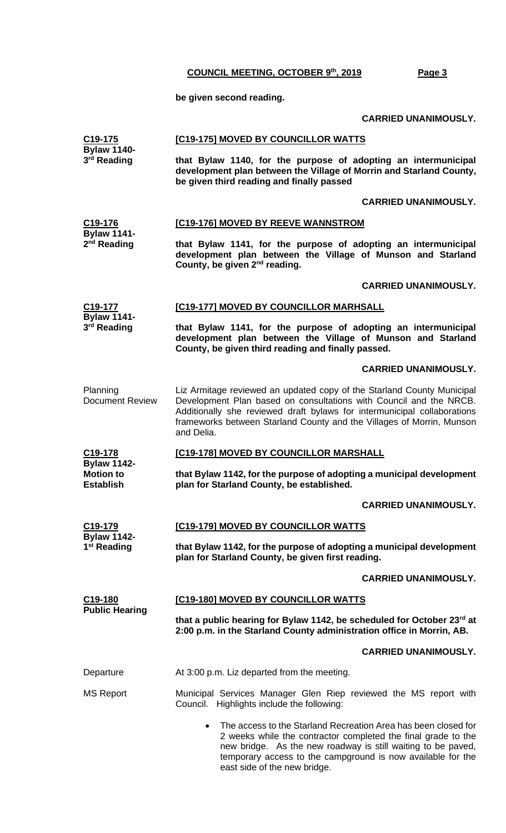**be given second reading.**

#### **CARRIED UNANIMOUSLY.**

|                                                            | <b>CARRIED UNANIMOUSLY.</b>                                                                                                                                                                                                                                                                                     |
|------------------------------------------------------------|-----------------------------------------------------------------------------------------------------------------------------------------------------------------------------------------------------------------------------------------------------------------------------------------------------------------|
| C19-175<br><b>Bylaw 1140-</b><br>3 <sup>rd</sup> Reading   | [C19-175] MOVED BY COUNCILLOR WATTS                                                                                                                                                                                                                                                                             |
|                                                            | that Bylaw 1140, for the purpose of adopting an intermunicipal<br>development plan between the Village of Morrin and Starland County,<br>be given third reading and finally passed                                                                                                                              |
|                                                            | <b>CARRIED UNANIMOUSLY.</b>                                                                                                                                                                                                                                                                                     |
| C19-176<br><b>Bylaw 1141-</b><br>$2nd$ Reading             | [C19-176] MOVED BY REEVE WANNSTROM                                                                                                                                                                                                                                                                              |
|                                                            | that Bylaw 1141, for the purpose of adopting an intermunicipal<br>development plan between the Village of Munson and Starland<br>County, be given 2 <sup>nd</sup> reading.                                                                                                                                      |
|                                                            | <b>CARRIED UNANIMOUSLY.</b>                                                                                                                                                                                                                                                                                     |
| C19-177<br><b>Bylaw 1141-</b><br>3 <sup>rd</sup> Reading   | [C19-177] MOVED BY COUNCILLOR MARHSALL                                                                                                                                                                                                                                                                          |
|                                                            | that Bylaw 1141, for the purpose of adopting an intermunicipal<br>development plan between the Village of Munson and Starland<br>County, be given third reading and finally passed.                                                                                                                             |
|                                                            | <b>CARRIED UNANIMOUSLY.</b>                                                                                                                                                                                                                                                                                     |
| Planning<br><b>Document Review</b>                         | Liz Armitage reviewed an updated copy of the Starland County Municipal<br>Development Plan based on consultations with Council and the NRCB.<br>Additionally she reviewed draft bylaws for intermunicipal collaborations<br>frameworks between Starland County and the Villages of Morrin, Munson<br>and Delia. |
| C19-178                                                    | [C19-178] MOVED BY COUNCILLOR MARSHALL                                                                                                                                                                                                                                                                          |
| <b>Bylaw 1142-</b><br><b>Motion to</b><br><b>Establish</b> | that Bylaw 1142, for the purpose of adopting a municipal development<br>plan for Starland County, be established.                                                                                                                                                                                               |
|                                                            | <b>CARRIED UNANIMOUSLY.</b>                                                                                                                                                                                                                                                                                     |
| C19-179<br><b>Bylaw 1142-</b><br>1 <sup>st</sup> Reading   | <b>[C19-179] MOVED BY COUNCILLOR WATTS</b>                                                                                                                                                                                                                                                                      |
|                                                            | that Bylaw 1142, for the purpose of adopting a municipal development<br>plan for Starland County, be given first reading.                                                                                                                                                                                       |
|                                                            | <b>CARRIED UNANIMOUSLY.</b>                                                                                                                                                                                                                                                                                     |
| C <sub>19</sub> -180<br><b>Public Hearing</b>              | <b>[C19-180] MOVED BY COUNCILLOR WATTS</b>                                                                                                                                                                                                                                                                      |
|                                                            | that a public hearing for Bylaw 1142, be scheduled for October 23rd at<br>2:00 p.m. in the Starland County administration office in Morrin, AB.                                                                                                                                                                 |
|                                                            | <b>CARRIED UNANIMOUSLY.</b>                                                                                                                                                                                                                                                                                     |
| Departure                                                  | At 3:00 p.m. Liz departed from the meeting.                                                                                                                                                                                                                                                                     |
| <b>MS Report</b>                                           | Municipal Services Manager Glen Riep reviewed the MS report with<br>Council. Highlights include the following:                                                                                                                                                                                                  |

• The access to the Starland Recreation Area has been closed for 2 weeks while the contractor completed the final grade to the new bridge. As the new roadway is still waiting to be paved, temporary access to the campground is now available for the east side of the new bridge.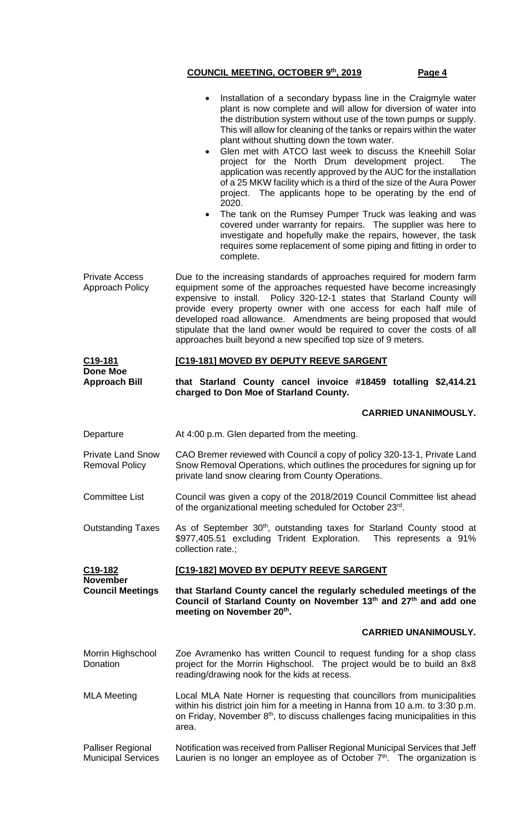|                                                   | Installation of a secondary bypass line in the Craigmyle water<br>plant is now complete and will allow for diversion of water into<br>the distribution system without use of the town pumps or supply.<br>This will allow for cleaning of the tanks or repairs within the water<br>plant without shutting down the town water.<br>Glen met with ATCO last week to discuss the Kneehill Solar<br>$\bullet$<br>project for the North Drum development project.<br>The<br>application was recently approved by the AUC for the installation<br>of a 25 MKW facility which is a third of the size of the Aura Power<br>project. The applicants hope to be operating by the end of<br>2020.<br>The tank on the Rumsey Pumper Truck was leaking and was<br>$\bullet$<br>covered under warranty for repairs. The supplier was here to<br>investigate and hopefully make the repairs, however, the task<br>requires some replacement of some piping and fitting in order to<br>complete. |
|---------------------------------------------------|----------------------------------------------------------------------------------------------------------------------------------------------------------------------------------------------------------------------------------------------------------------------------------------------------------------------------------------------------------------------------------------------------------------------------------------------------------------------------------------------------------------------------------------------------------------------------------------------------------------------------------------------------------------------------------------------------------------------------------------------------------------------------------------------------------------------------------------------------------------------------------------------------------------------------------------------------------------------------------|
| <b>Private Access</b><br>Approach Policy          | Due to the increasing standards of approaches required for modern farm<br>equipment some of the approaches requested have become increasingly<br>expensive to install.  Policy 320-12-1 states that Starland County will<br>provide every property owner with one access for each half mile of<br>developed road allowance. Amendments are being proposed that would<br>stipulate that the land owner would be required to cover the costs of all<br>approaches built beyond a new specified top size of 9 meters.                                                                                                                                                                                                                                                                                                                                                                                                                                                               |
| C <sub>19</sub> -181<br><b>Done Moe</b>           | [C19-181] MOVED BY DEPUTY REEVE SARGENT                                                                                                                                                                                                                                                                                                                                                                                                                                                                                                                                                                                                                                                                                                                                                                                                                                                                                                                                          |
| <b>Approach Bill</b>                              | that Starland County cancel invoice #18459 totalling \$2,414.21<br>charged to Don Moe of Starland County.                                                                                                                                                                                                                                                                                                                                                                                                                                                                                                                                                                                                                                                                                                                                                                                                                                                                        |
|                                                   | <b>CARRIED UNANIMOUSLY.</b>                                                                                                                                                                                                                                                                                                                                                                                                                                                                                                                                                                                                                                                                                                                                                                                                                                                                                                                                                      |
| Departure                                         | At 4:00 p.m. Glen departed from the meeting.                                                                                                                                                                                                                                                                                                                                                                                                                                                                                                                                                                                                                                                                                                                                                                                                                                                                                                                                     |
| <b>Private Land Snow</b><br><b>Removal Policy</b> | CAO Bremer reviewed with Council a copy of policy 320-13-1, Private Land<br>Snow Removal Operations, which outlines the procedures for signing up for                                                                                                                                                                                                                                                                                                                                                                                                                                                                                                                                                                                                                                                                                                                                                                                                                            |
|                                                   | private land snow clearing from County Operations.                                                                                                                                                                                                                                                                                                                                                                                                                                                                                                                                                                                                                                                                                                                                                                                                                                                                                                                               |
| <b>Committee List</b>                             | Council was given a copy of the 2018/2019 Council Committee list ahead<br>of the organizational meeting scheduled for October 23rd.                                                                                                                                                                                                                                                                                                                                                                                                                                                                                                                                                                                                                                                                                                                                                                                                                                              |
| <b>Outstanding Taxes</b>                          | As of September 30 <sup>th</sup> , outstanding taxes for Starland County stood at<br>\$977,405.51 excluding Trident Exploration.<br>This represents a 91%<br>collection rate.;                                                                                                                                                                                                                                                                                                                                                                                                                                                                                                                                                                                                                                                                                                                                                                                                   |
| C <sub>19</sub> -182                              | [C19-182] MOVED BY DEPUTY REEVE SARGENT                                                                                                                                                                                                                                                                                                                                                                                                                                                                                                                                                                                                                                                                                                                                                                                                                                                                                                                                          |
| <b>November</b><br><b>Council Meetings</b>        | that Starland County cancel the regularly scheduled meetings of the<br>Council of Starland County on November 13th and 27th and add one<br>meeting on November 20th.                                                                                                                                                                                                                                                                                                                                                                                                                                                                                                                                                                                                                                                                                                                                                                                                             |
|                                                   | <b>CARRIED UNANIMOUSLY.</b>                                                                                                                                                                                                                                                                                                                                                                                                                                                                                                                                                                                                                                                                                                                                                                                                                                                                                                                                                      |
| Morrin Highschool<br>Donation                     | Zoe Avramenko has written Council to request funding for a shop class<br>project for the Morrin Highschool. The project would be to build an 8x8<br>reading/drawing nook for the kids at recess.                                                                                                                                                                                                                                                                                                                                                                                                                                                                                                                                                                                                                                                                                                                                                                                 |
| <b>MLA Meeting</b>                                | Local MLA Nate Horner is requesting that councillors from municipalities<br>within his district join him for a meeting in Hanna from 10 a.m. to 3:30 p.m.<br>on Friday, November 8 <sup>th</sup> , to discuss challenges facing municipalities in this<br>area.                                                                                                                                                                                                                                                                                                                                                                                                                                                                                                                                                                                                                                                                                                                  |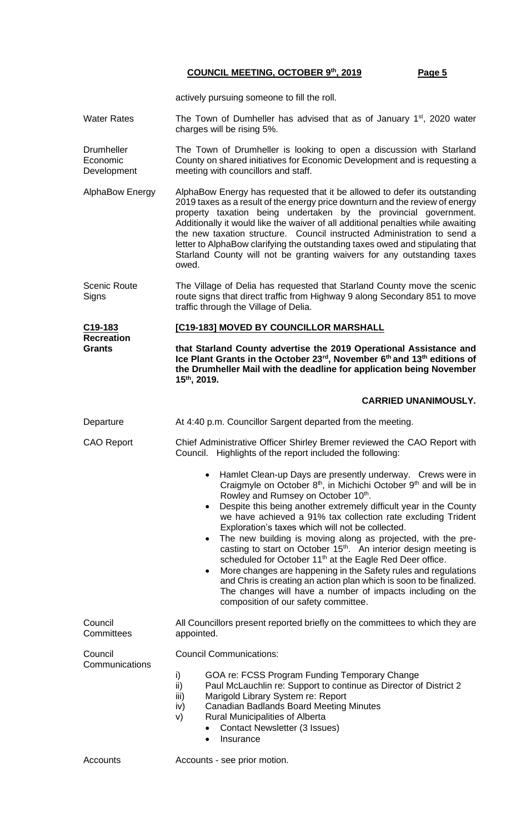actively pursuing someone to fill the roll.

- Water Rates The Town of Dumheller has advised that as of January  $1<sup>st</sup>$ , 2020 water charges will be rising 5%.
- **Drumheller** Economic Development The Town of Drumheller is looking to open a discussion with Starland County on shared initiatives for Economic Development and is requesting a meeting with councillors and staff.
- AlphaBow Energy AlphaBow Energy has requested that it be allowed to defer its outstanding 2019 taxes as a result of the energy price downturn and the review of energy property taxation being undertaken by the provincial government. Additionally it would like the waiver of all additional penalties while awaiting the new taxation structure. Council instructed Administration to send a letter to AlphaBow clarifying the outstanding taxes owed and stipulating that Starland County will not be granting waivers for any outstanding taxes owed.
- Scenic Route **Signs** The Village of Delia has requested that Starland County move the scenic route signs that direct traffic from Highway 9 along Secondary 851 to move traffic through the Village of Delia.

| C19-183           | <b>[C19-183] MOVED BY COUNCILLOR MARSHALL</b>    |
|-------------------|--------------------------------------------------|
| <b>Recreation</b> |                                                  |
| Grants            | that Starland County advertise the 2019 Operatio |

**that Starland County advertise the 2019 Operational Assistance and Ice Plant Grants in the October 23rd, November 6th and 13th editions of the Drumheller Mail with the deadline for application being November 15th, 2019.**

#### **CARRIED UNANIMOUSLY.**

Departure **At 4:40 p.m. Councillor Sargent departed from the meeting.** CAO Report Chief Administrative Officer Shirley Bremer reviewed the CAO Report with Council. Highlights of the report included the following: • Hamlet Clean-up Days are presently underway. Crews were in Craigmyle on October 8<sup>th</sup>, in Michichi October 9<sup>th</sup> and will be in Rowley and Rumsey on October 10<sup>th</sup>. • Despite this being another extremely difficult year in the County we have achieved a 91% tax collection rate excluding Trident Exploration's taxes which will not be collected. The new building is moving along as projected, with the precasting to start on October 15<sup>th</sup>. An interior design meeting is scheduled for October 11<sup>th</sup> at the Eagle Red Deer office. • More changes are happening in the Safety rules and regulations and Chris is creating an action plan which is soon to be finalized. The changes will have a number of impacts including on the composition of our safety committee. **Council Committees** All Councillors present reported briefly on the committees to which they are appointed. Council **Communications** Council Communications: i) GOA re: FCSS Program Funding Temporary Change ii) Paul McLauchlin re: Support to continue as Director of District 2 iii) Marigold Library System re: Report iv) Canadian Badlands Board Meeting Minutes v) Rural Municipalities of Alberta • Contact Newsletter (3 Issues) **Insurance** Accounts **Accounts** - see prior motion.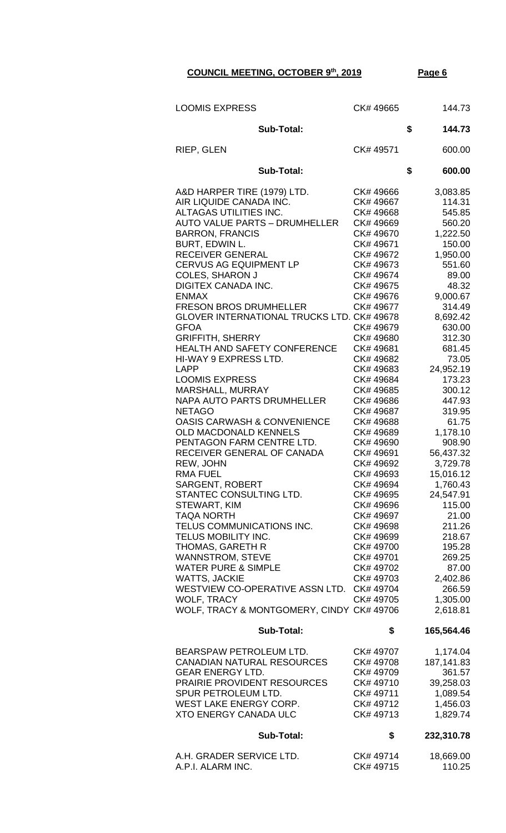| <b>LOOMIS EXPRESS</b>                                                                                                                                                                                                                                                                                                                                                                                                                                                                                                                                                                                                                                                                                                                                                                                                                                                                                                                                                                                                                                                                                                                      | CK# 49665                                                                                                                                                                                                                                                                                                                                                                                                                                                                                                 |    | 144.73                                                                                                                                                                                                                                                                                                                                                                                                                                             |
|--------------------------------------------------------------------------------------------------------------------------------------------------------------------------------------------------------------------------------------------------------------------------------------------------------------------------------------------------------------------------------------------------------------------------------------------------------------------------------------------------------------------------------------------------------------------------------------------------------------------------------------------------------------------------------------------------------------------------------------------------------------------------------------------------------------------------------------------------------------------------------------------------------------------------------------------------------------------------------------------------------------------------------------------------------------------------------------------------------------------------------------------|-----------------------------------------------------------------------------------------------------------------------------------------------------------------------------------------------------------------------------------------------------------------------------------------------------------------------------------------------------------------------------------------------------------------------------------------------------------------------------------------------------------|----|----------------------------------------------------------------------------------------------------------------------------------------------------------------------------------------------------------------------------------------------------------------------------------------------------------------------------------------------------------------------------------------------------------------------------------------------------|
| <b>Sub-Total:</b>                                                                                                                                                                                                                                                                                                                                                                                                                                                                                                                                                                                                                                                                                                                                                                                                                                                                                                                                                                                                                                                                                                                          |                                                                                                                                                                                                                                                                                                                                                                                                                                                                                                           |    | 144.73                                                                                                                                                                                                                                                                                                                                                                                                                                             |
| <b>RIEP, GLEN</b>                                                                                                                                                                                                                                                                                                                                                                                                                                                                                                                                                                                                                                                                                                                                                                                                                                                                                                                                                                                                                                                                                                                          | CK# 49571                                                                                                                                                                                                                                                                                                                                                                                                                                                                                                 |    | 600.00                                                                                                                                                                                                                                                                                                                                                                                                                                             |
| <b>Sub-Total:</b>                                                                                                                                                                                                                                                                                                                                                                                                                                                                                                                                                                                                                                                                                                                                                                                                                                                                                                                                                                                                                                                                                                                          |                                                                                                                                                                                                                                                                                                                                                                                                                                                                                                           | \$ | 600.00                                                                                                                                                                                                                                                                                                                                                                                                                                             |
| A&D HARPER TIRE (1979) LTD.<br>AIR LIQUIDE CANADA INC.<br>ALTAGAS UTILITIES INC.<br><b>AUTO VALUE PARTS - DRUMHELLER</b><br><b>BARRON, FRANCIS</b><br>BURT, EDWIN L.<br>RECEIVER GENERAL<br><b>CERVUS AG EQUIPMENT LP</b><br><b>COLES, SHARON J</b><br>DIGITEX CANADA INC.<br><b>ENMAX</b><br><b>FRESON BROS DRUMHELLER</b><br>GLOVER INTERNATIONAL TRUCKS LTD. CK# 49678<br><b>GFOA</b><br><b>GRIFFITH, SHERRY</b><br>HEALTH AND SAFETY CONFERENCE<br>HI-WAY 9 EXPRESS LTD.<br><b>LAPP</b><br><b>LOOMIS EXPRESS</b><br><b>MARSHALL, MURRAY</b><br>NAPA AUTO PARTS DRUMHELLER<br><b>NETAGO</b><br><b>OASIS CARWASH &amp; CONVENIENCE</b><br><b>OLD MACDONALD KENNELS</b><br>PENTAGON FARM CENTRE LTD.<br>RECEIVER GENERAL OF CANADA<br>REW, JOHN<br><b>RMA FUEL</b><br><b>SARGENT, ROBERT</b><br>STANTEC CONSULTING LTD.<br>STEWART, KIM<br><b>TAQA NORTH</b><br>TELUS COMMUNICATIONS INC.<br>TELUS MOBILITY INC.<br>THOMAS, GARETH R<br><b>WANNSTROM, STEVE</b><br><b>WATER PURE &amp; SIMPLE</b><br><b>WATTS, JACKIE</b><br>WESTVIEW CO-OPERATIVE ASSN LTD. CK# 49704<br><b>WOLF, TRACY</b><br>WOLF, TRACY & MONTGOMERY, CINDY CK# 49706 | CK# 49666<br>CK# 49667<br>CK# 49668<br>CK# 49669<br>CK# 49670<br>CK# 49671<br>CK# 49672<br>CK# 49673<br>CK# 49674<br>CK# 49675<br>CK# 49676<br>CK#49677<br>CK# 49679<br>CK# 49680<br>CK# 49681<br>CK# 49682<br>CK# 49683<br>CK# 49684<br>CK# 49685<br>CK# 49686<br>CK# 49687<br>CK# 49688<br>CK# 49689<br>CK# 49690<br>CK# 49691<br>CK# 49692<br>CK# 49693<br>CK# 49694<br>CK# 49695<br>CK# 49696<br>CK# 49697<br>CK# 49698<br>CK# 49699<br>CK# 49700<br>CK# 49701<br>CK# 49702<br>CK# 49703<br>CK# 49705 |    | 3,083.85<br>114.31<br>545.85<br>560.20<br>1,222.50<br>150.00<br>1,950.00<br>551.60<br>89.00<br>48.32<br>9,000.67<br>314.49<br>8,692.42<br>630.00<br>312.30<br>681.45<br>73.05<br>24,952.19<br>173.23<br>300.12<br>447.93<br>319.95<br>61.75<br>1,178.10<br>908.90<br>56,437.32<br>3,729.78<br>15,016.12<br>1,760.43<br>24,547.91<br>115.00<br>21.00<br>211.26<br>218.67<br>195.28<br>269.25<br>87.00<br>2,402.86<br>266.59<br>1,305.00<br>2,618.81 |
| <b>Sub-Total:</b>                                                                                                                                                                                                                                                                                                                                                                                                                                                                                                                                                                                                                                                                                                                                                                                                                                                                                                                                                                                                                                                                                                                          | \$                                                                                                                                                                                                                                                                                                                                                                                                                                                                                                        |    | 165,564.46                                                                                                                                                                                                                                                                                                                                                                                                                                         |
| BEARSPAW PETROLEUM LTD.<br><b>CANADIAN NATURAL RESOURCES</b><br><b>GEAR ENERGY LTD.</b><br>PRAIRIE PROVIDENT RESOURCES<br>SPUR PETROLEUM LTD.<br>WEST LAKE ENERGY CORP.<br><b>XTO ENERGY CANADA ULC</b><br><b>Sub-Total:</b>                                                                                                                                                                                                                                                                                                                                                                                                                                                                                                                                                                                                                                                                                                                                                                                                                                                                                                               | CK# 49707<br>CK# 49708<br>CK# 49709<br>CK# 49710<br>CK# 49711<br>CK# 49712<br>CK# 49713<br>\$                                                                                                                                                                                                                                                                                                                                                                                                             |    | 1,174.04<br>187, 141.83<br>361.57<br>39,258.03<br>1,089.54<br>1,456.03<br>1,829.74<br>232,310.78                                                                                                                                                                                                                                                                                                                                                   |
|                                                                                                                                                                                                                                                                                                                                                                                                                                                                                                                                                                                                                                                                                                                                                                                                                                                                                                                                                                                                                                                                                                                                            |                                                                                                                                                                                                                                                                                                                                                                                                                                                                                                           |    |                                                                                                                                                                                                                                                                                                                                                                                                                                                    |
| A.H. GRADER SERVICE LTD.<br>A.P.I. ALARM INC.                                                                                                                                                                                                                                                                                                                                                                                                                                                                                                                                                                                                                                                                                                                                                                                                                                                                                                                                                                                                                                                                                              | CK# 49714<br>CK# 49715                                                                                                                                                                                                                                                                                                                                                                                                                                                                                    |    | 18,669.00<br>110.25                                                                                                                                                                                                                                                                                                                                                                                                                                |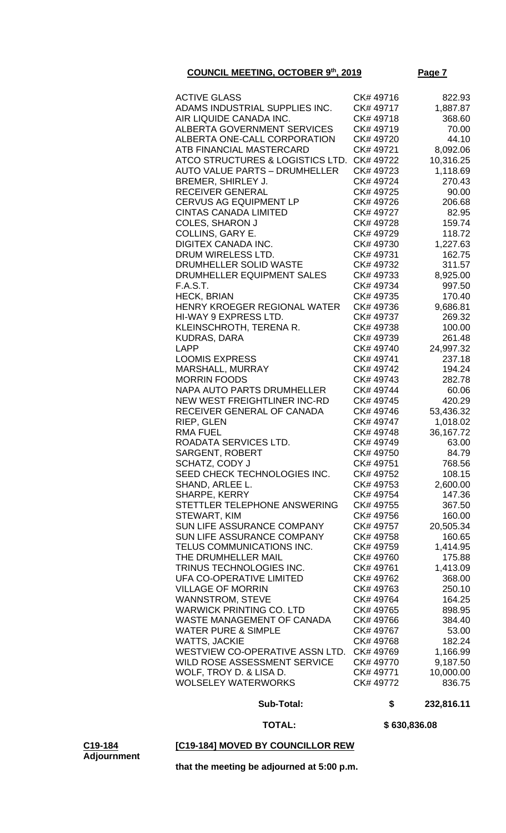| <b>ACTIVE GLASS</b>                  | CK# 49716 | 822.93    |
|--------------------------------------|-----------|-----------|
| ADAMS INDUSTRIAL SUPPLIES INC.       | CK# 49717 | 1,887.87  |
| AIR LIQUIDE CANADA INC.              | CK# 49718 | 368.60    |
| <b>ALBERTA GOVERNMENT SERVICES</b>   | CK# 49719 | 70.00     |
| ALBERTA ONE-CALL CORPORATION         | CK# 49720 | 44.10     |
| ATB FINANCIAL MASTERCARD             | CK# 49721 | 8,092.06  |
| ATCO STRUCTURES & LOGISTICS LTD.     | CK# 49722 | 10,316.25 |
|                                      |           |           |
| <b>AUTO VALUE PARTS - DRUMHELLER</b> | CK# 49723 | 1,118.69  |
| BREMER, SHIRLEY J.                   | CK# 49724 | 270.43    |
| RECEIVER GENERAL                     | CK# 49725 | 90.00     |
| <b>CERVUS AG EQUIPMENT LP</b>        | CK# 49726 | 206.68    |
| <b>CINTAS CANADA LIMITED</b>         | CK# 49727 | 82.95     |
| <b>COLES, SHARON J</b>               | CK# 49728 | 159.74    |
| COLLINS, GARY E.                     | CK# 49729 | 118.72    |
| <b>DIGITEX CANADA INC.</b>           | CK# 49730 | 1,227.63  |
| DRUM WIRELESS LTD.                   | CK# 49731 | 162.75    |
| DRUMHELLER SOLID WASTE               | CK# 49732 | 311.57    |
| DRUMHELLER EQUIPMENT SALES           | CK# 49733 | 8,925.00  |
| F.A.S.T.                             | CK# 49734 | 997.50    |
| <b>HECK, BRIAN</b>                   | CK# 49735 | 170.40    |
| HENRY KROEGER REGIONAL WATER         | CK# 49736 | 9,686.81  |
| HI-WAY 9 EXPRESS LTD.                | CK# 49737 | 269.32    |
| KLEINSCHROTH, TERENA R.              | CK#49738  | 100.00    |
| <b>KUDRAS, DARA</b>                  | CK# 49739 | 261.48    |
| <b>LAPP</b>                          | CK# 49740 |           |
|                                      |           | 24,997.32 |
| <b>LOOMIS EXPRESS</b>                | CK# 49741 | 237.18    |
| <b>MARSHALL, MURRAY</b>              | CK# 49742 | 194.24    |
| <b>MORRIN FOODS</b>                  | CK# 49743 | 282.78    |
| NAPA AUTO PARTS DRUMHELLER           | CK# 49744 | 60.06     |
| <b>NEW WEST FREIGHTLINER INC-RD</b>  | CK# 49745 | 420.29    |
| RECEIVER GENERAL OF CANADA           | CK# 49746 | 53,436.32 |
| RIEP, GLEN                           | CK# 49747 | 1,018.02  |
| <b>RMA FUEL</b>                      | CK# 49748 | 36,167.72 |
| ROADATA SERVICES LTD.                | CK# 49749 | 63.00     |
| <b>SARGENT, ROBERT</b>               | CK# 49750 | 84.79     |
| SCHATZ, CODY J                       | CK# 49751 | 768.56    |
| SEED CHECK TECHNOLOGIES INC.         | CK# 49752 | 108.15    |
| SHAND, ARLEE L.                      | CK# 49753 | 2,600.00  |
| SHARPE, KERRY                        | CK# 49754 | 147.36    |
| STETTLER TELEPHONE ANSWERING         | CK# 49755 | 367.50    |
| STEWART, KIM                         | CK# 49756 | 160.00    |
| SUN LIFE ASSURANCE COMPANY           | CK# 49757 | 20,505.34 |
| <b>SUN LIFE ASSURANCE COMPANY</b>    | CK# 49758 | 160.65    |
| TELUS COMMUNICATIONS INC.            | CK# 49759 | 1,414.95  |
| THE DRUMHELLER MAIL                  | CK# 49760 | 175.88    |
| TRINUS TECHNOLOGIES INC.             | CK# 49761 | 1,413.09  |
| UFA CO-OPERATIVE LIMITED             | CK# 49762 | 368.00    |
| <b>VILLAGE OF MORRIN</b>             | CK# 49763 | 250.10    |
| <b>WANNSTROM, STEVE</b>              | CK# 49764 | 164.25    |
| <b>WARWICK PRINTING CO. LTD</b>      | CK# 49765 | 898.95    |
| <b>WASTE MANAGEMENT OF CANADA</b>    | CK# 49766 | 384.40    |
| <b>WATER PURE &amp; SIMPLE</b>       | CK# 49767 | 53.00     |
|                                      |           |           |
| <b>WATTS, JACKIE</b>                 | CK# 49768 | 182.24    |
| WESTVIEW CO-OPERATIVE ASSN LTD.      | CK# 49769 | 1,166.99  |
| WILD ROSE ASSESSMENT SERVICE         | CK# 49770 | 9,187.50  |
| WOLF, TROY D. & LISA D.              | CK# 49771 | 10,000.00 |
| <b>WOLSELEY WATERWORKS</b>           | CK# 49772 | 836.75    |

#### **Sub-Total: \$ 232,816.11**

 **TOTAL: \$ 630,836.08**

### **[C19-184] MOVED BY COUNCILLOR REW**

**C19-184 Adjournment**

**that the meeting be adjourned at 5:00 p.m.**